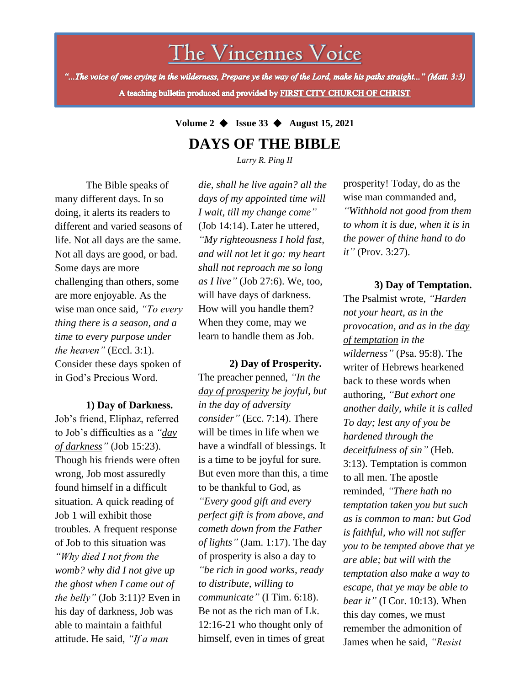# The Vincennes Voice

"...The voice of one crying in the wilderness, Prepare ye the way of the Lord, make his paths straight..." (Matt. 3:3) A teaching bulletin produced and provided by FIRST CITY CHURCH OF CHRIST

## **Volume 2** ◆ **Issue 33** ◆ **August 15, 2021 DAYS OF THE BIBLE**

*Larry R. Ping II*

The Bible speaks of many different days. In so doing, it alerts its readers to different and varied seasons of life. Not all days are the same. Not all days are good, or bad. Some days are more challenging than others, some are more enjoyable. As the wise man once said, *"To every thing there is a season, and a time to every purpose under the heaven"* (Eccl. 3:1). Consider these days spoken of in God's Precious Word.

### **1) Day of Darkness.**

the belly" (Job 3:11)? Even in Job's friend, Eliphaz, referred to Job's difficulties as a *"day of darkness"* (Job 15:23). Though his friends were often wrong, Job most assuredly found himself in a difficult situation. A quick reading of Job 1 will exhibit those troubles. A frequent response of Job to this situation was *"Why died I not from the womb? why did I not give up the ghost when I came out of*  his day of darkness, Job was able to maintain a faithful attitude. He said, *"If a man* 

*die, shall he live again? all the days of my appointed time will I wait, till my change come"* (Job 14:14). Later he uttered, *"My righteousness I hold fast, and will not let it go: my heart shall not reproach me so long as I live"* (Job 27:6). We, too, will have days of darkness. How will you handle them? When they come, may we learn to handle them as Job.

**2) Day of Prosperity.** The preacher penned, *"In the day of prosperity be joyful, but in the day of adversity consider"* (Ecc. 7:14). There will be times in life when we have a windfall of blessings. It is a time to be joyful for sure. But even more than this, a time to be thankful to God, as *"Every good gift and every perfect gift is from above, and cometh down from the Father of lights"* (Jam. 1:17). The day of prosperity is also a day to *"be rich in good works, ready to distribute, willing to communicate"* (I Tim. 6:18). Be not as the rich man of Lk. 12:16-21 who thought only of himself, even in times of great

prosperity! Today, do as the wise man commanded and, *"Withhold not good from them to whom it is due, when it is in the power of thine hand to do it"* (Prov. 3:27).

### **3) Day of Temptation.**

The Psalmist wrote, *"Harden not your heart, as in the provocation, and as in the day of temptation in the wilderness"* (Psa. 95:8). The writer of Hebrews hearkened back to these words when authoring, *"But exhort one another daily, while it is called To day; lest any of you be hardened through the deceitfulness of sin"* (Heb. 3:13). Temptation is common to all men. The apostle reminded, *"There hath no temptation taken you but such as is common to man: but God is faithful, who will not suffer you to be tempted above that ye are able; but will with the temptation also make a way to escape, that ye may be able to bear it"* (I Cor. 10:13). When this day comes, we must remember the admonition of James when he said, *"Resist*